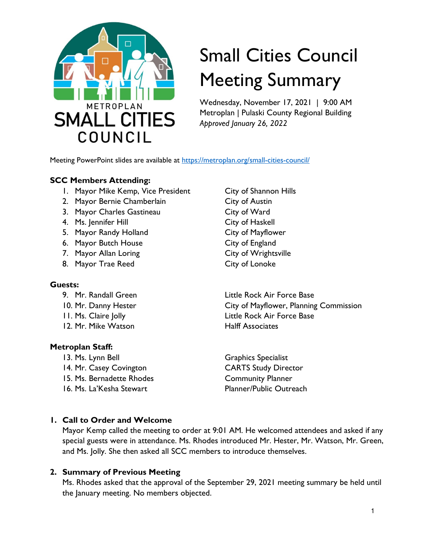

# Small Cities Council Meeting Summary

Wednesday, November 17, 2021 | 9:00 AM Metroplan | Pulaski County Regional Building *Approved January 26, 2022* 

Meeting PowerPoint slides are available at https://metroplan.org/small-cities-council/

## **SCC Members Attending:**

- 1. Mayor Mike Kemp, Vice President City of Shannon Hills
- 2. Mayor Bernie Chamberlain City of Austin
- 3. Mayor Charles Gastineau City of Ward
- 4. Ms. Jennifer Hill **City of Haskell**
- 5. Mayor Randy Holland City of Mayflower
- 6. Mayor Butch House City of England
- 7. Mayor Allan Loring City of Wrightsville
- 8. Mayor Trae Reed City of Lonoke

## **Guests:**

- 
- 
- 
- 12. Mr. Mike Watson **Halff Associates**

## **Metroplan Staff:**

- 13. Ms. Lynn Bell Graphics Specialist
- 14. Mr. Casey Covington CARTS Study Director
- 15. Ms. Bernadette Rhodes Community Planner
- 

9. Mr. Randall Green **Little Rock Air Force Base** 10. Mr. Danny Hester **City of Mayflower, Planning Commission** 11. Ms. Claire Jolly Little Rock Air Force Base

16. Ms. La'Kesha Stewart **Planner/Public Outreach** 

# **1. Call to Order and Welcome**

Mayor Kemp called the meeting to order at 9:01 AM. He welcomed attendees and asked if any special guests were in attendance. Ms. Rhodes introduced Mr. Hester, Mr. Watson, Mr. Green, and Ms. Jolly. She then asked all SCC members to introduce themselves.

## **2. Summary of Previous Meeting**

Ms. Rhodes asked that the approval of the September 29, 2021 meeting summary be held until the January meeting. No members objected.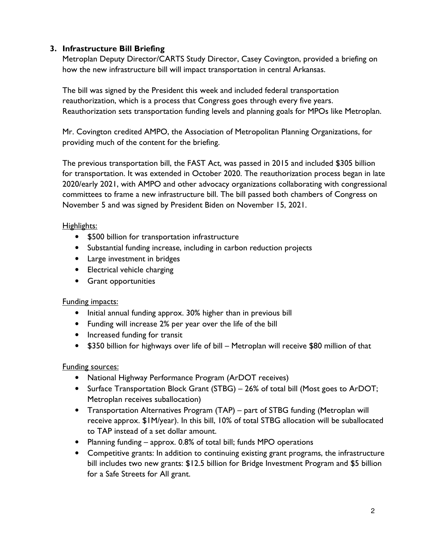# **3. Infrastructure Bill Briefing**

Metroplan Deputy Director/CARTS Study Director, Casey Covington, provided a briefing on how the new infrastructure bill will impact transportation in central Arkansas.

The bill was signed by the President this week and included federal transportation reauthorization, which is a process that Congress goes through every five years. Reauthorization sets transportation funding levels and planning goals for MPOs like Metroplan.

Mr. Covington credited AMPO, the Association of Metropolitan Planning Organizations, for providing much of the content for the briefing.

The previous transportation bill, the FAST Act, was passed in 2015 and included \$305 billion for transportation. It was extended in October 2020. The reauthorization process began in late 2020/early 2021, with AMPO and other advocacy organizations collaborating with congressional committees to frame a new infrastructure bill. The bill passed both chambers of Congress on November 5 and was signed by President Biden on November 15, 2021.

# Highlights:

- \$500 billion for transportation infrastructure
- Substantial funding increase, including in carbon reduction projects
- Large investment in bridges
- Electrical vehicle charging
- Grant opportunities

# Funding impacts:

- Initial annual funding approx. 30% higher than in previous bill
- Funding will increase 2% per year over the life of the bill
- Increased funding for transit
- \$350 billion for highways over life of bill Metroplan will receive \$80 million of that

# Funding sources:

- National Highway Performance Program (ArDOT receives)
- Surface Transportation Block Grant (STBG) 26% of total bill (Most goes to ArDOT; Metroplan receives suballocation)
- Transportation Alternatives Program (TAP) part of STBG funding (Metroplan will receive approx. \$1M/year). In this bill, 10% of total STBG allocation will be suballocated to TAP instead of a set dollar amount.
- Planning funding approx. 0.8% of total bill; funds MPO operations
- Competitive grants: In addition to continuing existing grant programs, the infrastructure bill includes two new grants: \$12.5 billion for Bridge Investment Program and \$5 billion for a Safe Streets for All grant.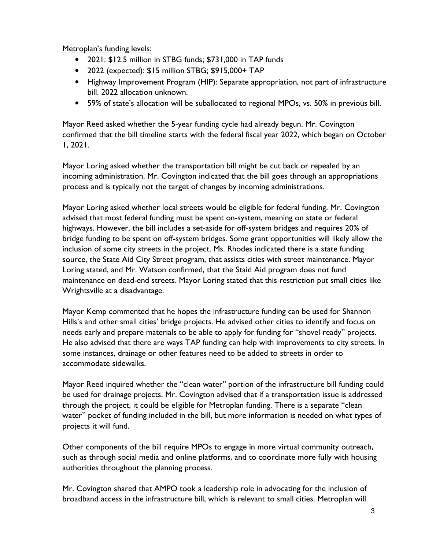Metroplan's funding levels:

- 2021: \$12.5 million in STBG funds; \$731,000 in TAP funds
- 2022 (expected): \$15 million STBG; \$915,000+ TAP
- Highway Improvement Program (HIP): Separate appropriation, not part of infrastructure bill. 2022 allocation unknown.
- 59% of state's allocation will be suballocated to regional MPOs, vs. 50% in previous bill.

Mayor Reed asked whether the 5-year funding cycle had already begun. Mr. Covington confirmed that the bill timeline starts with the federal fiscal year 2022, which began on October 1, 2021.

Mayor Loring asked whether the transportation bill might be cut back or repealed by an incoming administration. Mr. Covington indicated that the bill goes through an appropriations process and is typically not the target of changes by incoming administrations.

Mayor Loring asked whether local streets would be eligible for federal funding. Mr. Covington advised that most federal funding must be spent on-system, meaning on state or federal highways. However, the bill includes a set-aside for off-system bridges and requires 20% of bridge funding to be spent on off-system bridges. Some grant opportunities will likely allow the inclusion of some city streets in the project. Ms. Rhodes indicated there is a state funding source, the State Aid City Street program, that assists cities with street maintenance. Mayor Loring stated, and Mr. Watson confirmed, that the Staid Aid program does not fund maintenance on dead-end streets. Mayor Loring stated that this restriction put small cities like Wrightsville at a disadvantage.

Mayor Kemp commented that he hopes the infrastructure funding can be used for Shannon Hills's and other small cities' bridge projects. He advised other cities to identify and focus on needs early and prepare materials to be able to apply for funding for "shovel ready" projects. He also advised that there are ways TAP funding can help with improvements to city streets. In some instances, drainage or other features need to be added to streets in order to accommodate sidewalks.

Mayor Reed inquired whether the "clean water" portion of the infrastructure bill funding could be used for drainage projects. Mr. Covington advised that if a transportation issue is addressed through the project, it could be eligible for Metroplan funding. There is a separate "clean water" pocket of funding included in the bill, but more information is needed on what types of projects it will fund.

Other components of the bill require MPOs to engage in more virtual community outreach, such as through social media and online platforms, and to coordinate more fully with housing authorities throughout the planning process.

Mr. Covington shared that AMPO took a leadership role in advocating for the inclusion of broadband access in the infrastructure bill, which is relevant to small cities. Metroplan will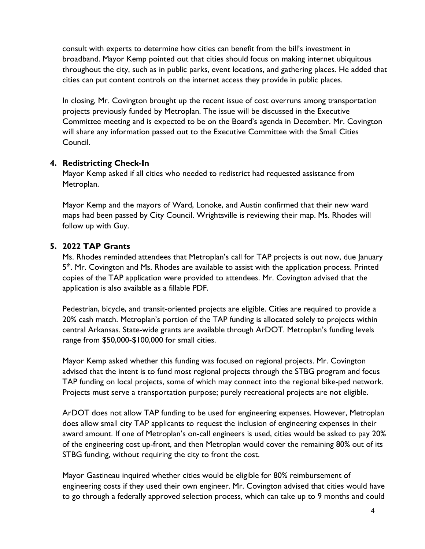consult with experts to determine how cities can benefit from the bill's investment in broadband. Mayor Kemp pointed out that cities should focus on making internet ubiquitous throughout the city, such as in public parks, event locations, and gathering places. He added that cities can put content controls on the internet access they provide in public places.

In closing, Mr. Covington brought up the recent issue of cost overruns among transportation projects previously funded by Metroplan. The issue will be discussed in the Executive Committee meeting and is expected to be on the Board's agenda in December. Mr. Covington will share any information passed out to the Executive Committee with the Small Cities Council.

## **4. Redistricting Check-In**

Mayor Kemp asked if all cities who needed to redistrict had requested assistance from Metroplan.

Mayor Kemp and the mayors of Ward, Lonoke, and Austin confirmed that their new ward maps had been passed by City Council. Wrightsville is reviewing their map. Ms. Rhodes will follow up with Guy.

# **5. 2022 TAP Grants**

Ms. Rhodes reminded attendees that Metroplan's call for TAP projects is out now, due January 5<sup>th</sup>. Mr. Covington and Ms. Rhodes are available to assist with the application process. Printed copies of the TAP application were provided to attendees. Mr. Covington advised that the application is also available as a fillable PDF.

Pedestrian, bicycle, and transit-oriented projects are eligible. Cities are required to provide a 20% cash match. Metroplan's portion of the TAP funding is allocated solely to projects within central Arkansas. State-wide grants are available through ArDOT. Metroplan's funding levels range from \$50,000-\$100,000 for small cities.

Mayor Kemp asked whether this funding was focused on regional projects. Mr. Covington advised that the intent is to fund most regional projects through the STBG program and focus TAP funding on local projects, some of which may connect into the regional bike-ped network. Projects must serve a transportation purpose; purely recreational projects are not eligible.

ArDOT does not allow TAP funding to be used for engineering expenses. However, Metroplan does allow small city TAP applicants to request the inclusion of engineering expenses in their award amount. If one of Metroplan's on-call engineers is used, cities would be asked to pay 20% of the engineering cost up-front, and then Metroplan would cover the remaining 80% out of its STBG funding, without requiring the city to front the cost.

Mayor Gastineau inquired whether cities would be eligible for 80% reimbursement of engineering costs if they used their own engineer. Mr. Covington advised that cities would have to go through a federally approved selection process, which can take up to 9 months and could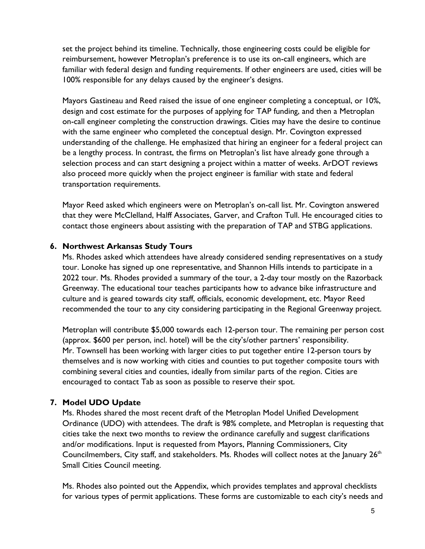set the project behind its timeline. Technically, those engineering costs could be eligible for reimbursement, however Metroplan's preference is to use its on-call engineers, which are familiar with federal design and funding requirements. If other engineers are used, cities will be 100% responsible for any delays caused by the engineer's designs.

Mayors Gastineau and Reed raised the issue of one engineer completing a conceptual, or 10%, design and cost estimate for the purposes of applying for TAP funding, and then a Metroplan on-call engineer completing the construction drawings. Cities may have the desire to continue with the same engineer who completed the conceptual design. Mr. Covington expressed understanding of the challenge. He emphasized that hiring an engineer for a federal project can be a lengthy process. In contrast, the firms on Metroplan's list have already gone through a selection process and can start designing a project within a matter of weeks. ArDOT reviews also proceed more quickly when the project engineer is familiar with state and federal transportation requirements.

Mayor Reed asked which engineers were on Metroplan's on-call list. Mr. Covington answered that they were McClelland, Halff Associates, Garver, and Crafton Tull. He encouraged cities to contact those engineers about assisting with the preparation of TAP and STBG applications.

## **6. Northwest Arkansas Study Tours**

Ms. Rhodes asked which attendees have already considered sending representatives on a study tour. Lonoke has signed up one representative, and Shannon Hills intends to participate in a 2022 tour. Ms. Rhodes provided a summary of the tour, a 2-day tour mostly on the Razorback Greenway. The educational tour teaches participants how to advance bike infrastructure and culture and is geared towards city staff, officials, economic development, etc. Mayor Reed recommended the tour to any city considering participating in the Regional Greenway project.

Metroplan will contribute \$5,000 towards each 12-person tour. The remaining per person cost (approx. \$600 per person, incl. hotel) will be the city's/other partners' responsibility. Mr. Townsell has been working with larger cities to put together entire 12-person tours by themselves and is now working with cities and counties to put together composite tours with combining several cities and counties, ideally from similar parts of the region. Cities are encouraged to contact Tab as soon as possible to reserve their spot.

# **7. Model UDO Update**

Ms. Rhodes shared the most recent draft of the Metroplan Model Unified Development Ordinance (UDO) with attendees. The draft is 98% complete, and Metroplan is requesting that cities take the next two months to review the ordinance carefully and suggest clarifications and/or modifications. Input is requested from Mayors, Planning Commissioners, City Councilmembers, City staff, and stakeholders. Ms. Rhodes will collect notes at the January  $26<sup>th</sup>$ Small Cities Council meeting.

Ms. Rhodes also pointed out the Appendix, which provides templates and approval checklists for various types of permit applications. These forms are customizable to each city's needs and